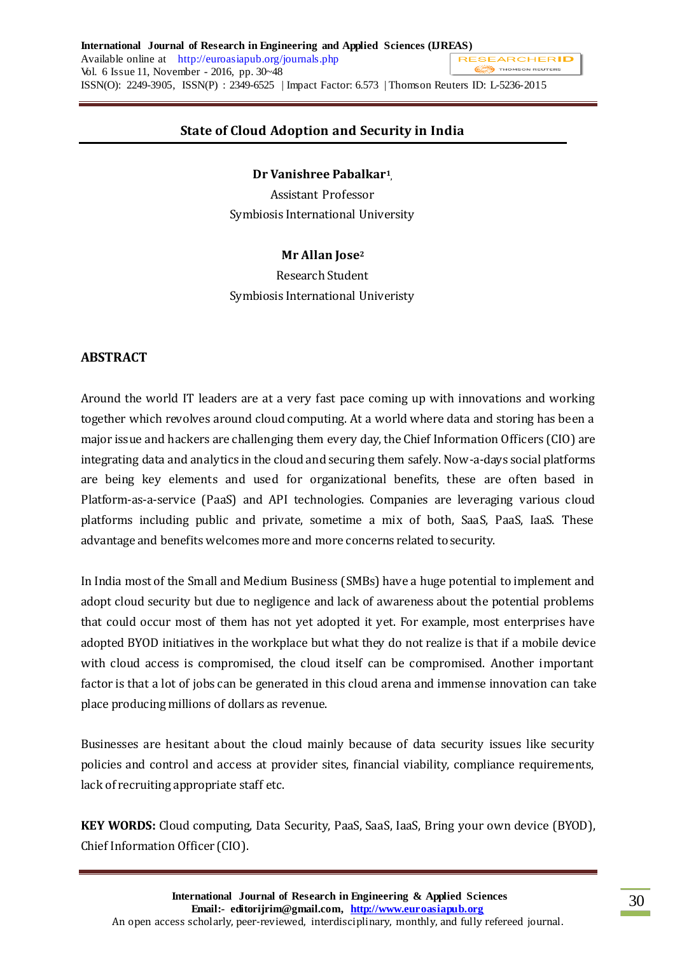# **State of Cloud Adoption and Security in India**

**Dr Vanishree Pabalkar<sup>1</sup> ,**

Assistant Professor Symbiosis International University

# **Mr Allan Jose<sup>2</sup>**

Research Student Symbiosis International Univeristy

# **ABSTRACT**

Around the world IT leaders are at a very fast pace coming up with innovations and working together which revolves around cloud computing. At a world where data and storing has been a major issue and hackers are challenging them every day, the Chief Information Officers (CIO) are integrating data and analytics in the cloud and securing them safely. Now-a-days social platforms are being key elements and used for organizational benefits, these are often based in Platform-as-a-service (PaaS) and API technologies. Companies are leveraging various cloud platforms including public and private, sometime a mix of both, SaaS, PaaS, IaaS. These advantage and benefits welcomes more and more concerns related to security.

In India most of the Small and Medium Business (SMBs) have a huge potential to implement and adopt cloud security but due to negligence and lack of awareness about the potential problems that could occur most of them has not yet adopted it yet. For example, most enterprises have adopted BYOD initiatives in the workplace but what they do not realize is that if a mobile device with cloud access is compromised, the cloud itself can be compromised. Another important factor is that a lot of jobs can be generated in this cloud arena and immense innovation can take place producing millions of dollars as revenue.

Businesses are hesitant about the cloud mainly because of data security issues like security policies and control and access at provider sites, financial viability, compliance requirements, lack of recruiting appropriate staff etc.

**KEY WORDS:** Cloud computing, Data Security, PaaS, SaaS, IaaS, Bring your own device (BYOD), Chief Information Officer (CIO).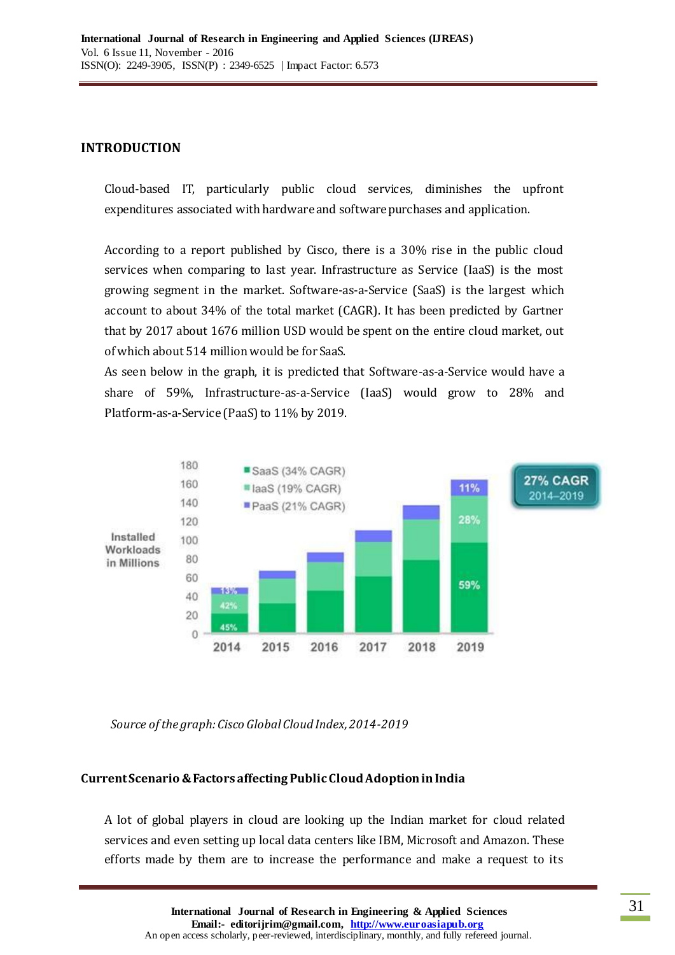## **INTRODUCTION**

Cloud-based IT, particularly public cloud services, diminishes the upfront expenditures associated with hardware and software purchases and application.

According to a report published by Cisco, there is a 30% rise in the public cloud services when comparing to last year. Infrastructure as Service (IaaS) is the most growing segment in the market. Software-as-a-Service (SaaS) is the largest which account to about 34% of the total market (CAGR). It has been predicted by Gartner that by 2017 about 1676 million USD would be spent on the entire cloud market, out of which about 514 million would be for SaaS.

As seen below in the graph, it is predicted that Software-as-a-Service would have a share of 59%, Infrastructure-as-a-Service (IaaS) would grow to 28% and Platform-as-a-Service (PaaS) to 11% by 2019.



*Source of the graph: Cisco Global Cloud Index, 2014-2019*

# **Current Scenario & Factors affecting Public Cloud Adoption in India**

A lot of global players in cloud are looking up the Indian market for cloud related services and even setting up local data centers like IBM, Microsoft and Amazon. These efforts made by them are to increase the performance and make a request to its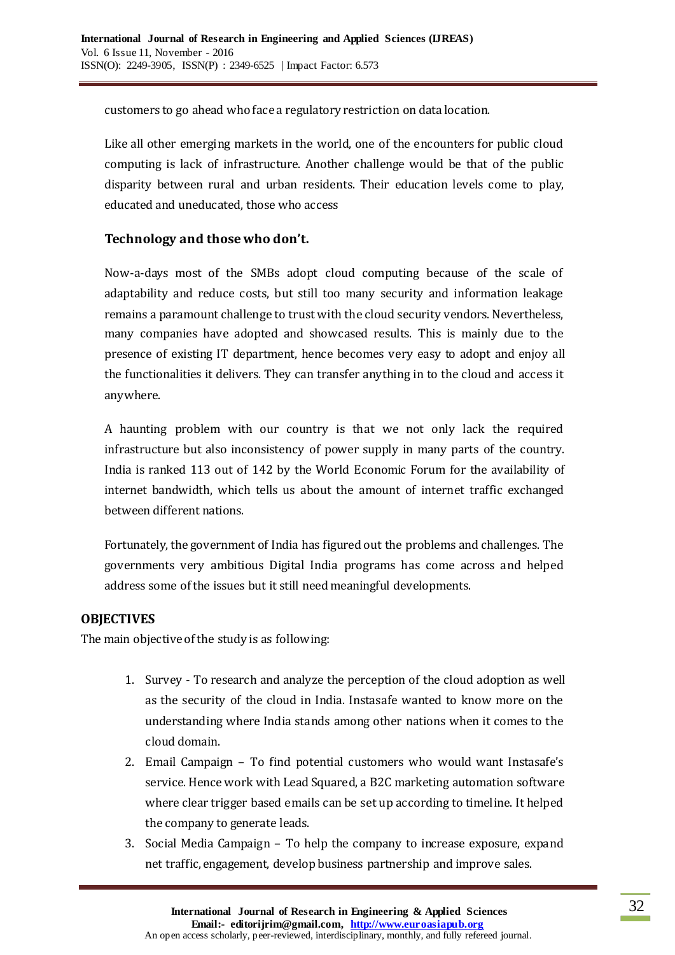customers to go ahead who face a regulatory restriction on data location.

Like all other emerging markets in the world, one of the encounters for public cloud computing is lack of infrastructure. Another challenge would be that of the public disparity between rural and urban residents. Their education levels come to play, educated and uneducated, those who access

# **Technology and those who don't.**

Now-a-days most of the SMBs adopt cloud computing because of the scale of adaptability and reduce costs, but still too many security and information leakage remains a paramount challenge to trust with the cloud security vendors. Nevertheless, many companies have adopted and showcased results. This is mainly due to the presence of existing IT department, hence becomes very easy to adopt and enjoy all the functionalities it delivers. They can transfer anything in to the cloud and access it anywhere.

A haunting problem with our country is that we not only lack the required infrastructure but also inconsistency of power supply in many parts of the country. India is ranked 113 out of 142 by the World Economic Forum for the availability of internet bandwidth, which tells us about the amount of internet traffic exchanged between different nations.

Fortunately, the government of India has figured out the problems and challenges. The governments very ambitious Digital India programs has come across and helped address some of the issues but it still need meaningful developments.

# **OBJECTIVES**

The main objective of the study is as following:

- 1. Survey To research and analyze the perception of the cloud adoption as well as the security of the cloud in India. Instasafe wanted to know more on the understanding where India stands among other nations when it comes to the cloud domain.
- 2. Email Campaign To find potential customers who would want Instasafe's service. Hence work with Lead Squared, a B2C marketing automation software where clear trigger based emails can be set up according to timeline. It helped the company to generate leads.
- 3. Social Media Campaign To help the company to increase exposure, expand net traffic, engagement, develop business partnership and improve sales.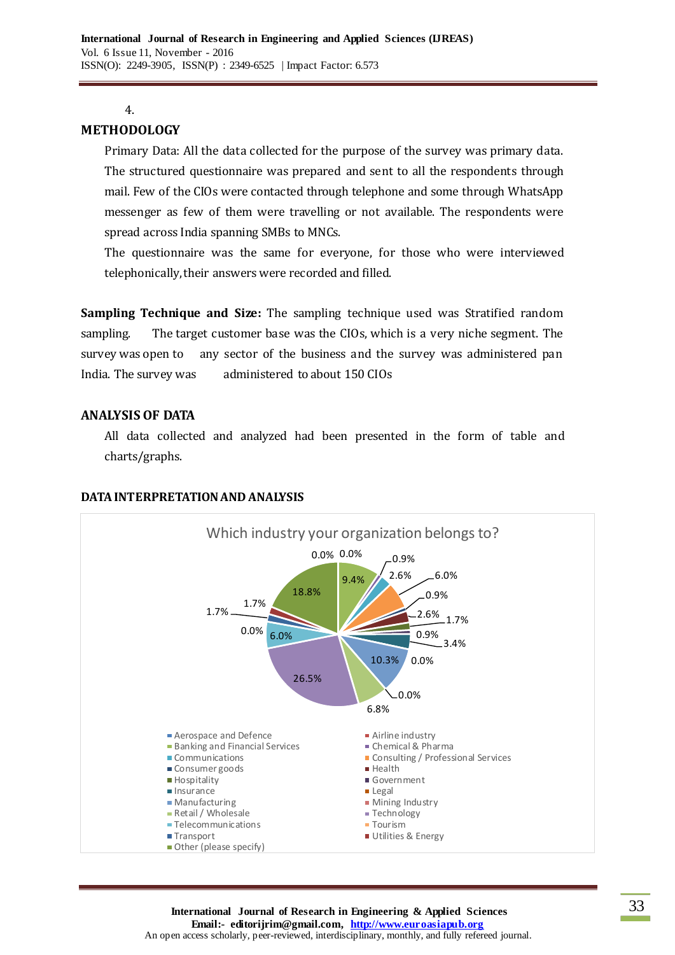#### 4.

## **METHODOLOGY**

Primary Data: All the data collected for the purpose of the survey was primary data. The structured questionnaire was prepared and sent to all the respondents through mail. Few of the CIOs were contacted through telephone and some through WhatsApp messenger as few of them were travelling or not available. The respondents were spread across India spanning SMBs to MNCs.

The questionnaire was the same for everyone, for those who were interviewed telephonically, their answers were recorded and filled.

**Sampling Technique and Size:** The sampling technique used was Stratified random sampling. The target customer base was the CIOs, which is a very niche segment. The survey was open to any sector of the business and the survey was administered pan India. The survey was administered to about 150 CIOs

## **ANALYSIS OF DATA**

All data collected and analyzed had been presented in the form of table and charts/graphs.



### **DATA INTERPRETATION AND ANALYSIS**

**International Journal of Research in Engineering & Applied Sciences Email:- editorijrim@gmail.com, http://www.euroasiapub.org** An open access scholarly, peer-reviewed, interdisciplinary, monthly, and fully refereed journal.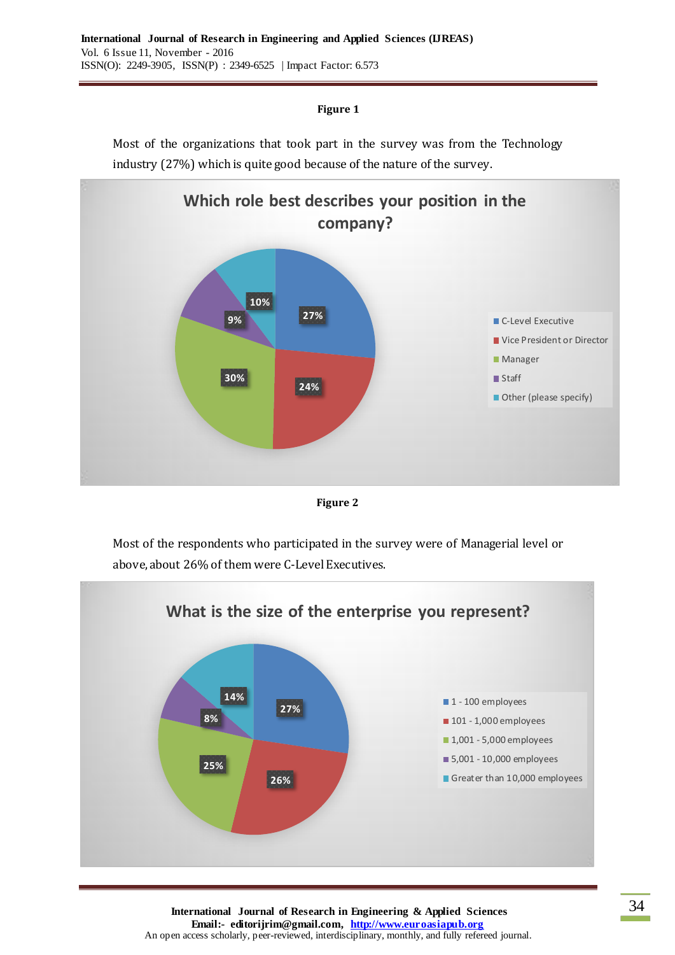





Most of the respondents who participated in the survey were of Managerial level or above, about 26% of them were C-Level Executives.



**International Journal of Research in Engineering & Applied Sciences Email:- editorijrim@gmail.com, http://www.euroasiapub.org** An open access scholarly, peer-reviewed, interdisciplinary, monthly, and fully refereed journal.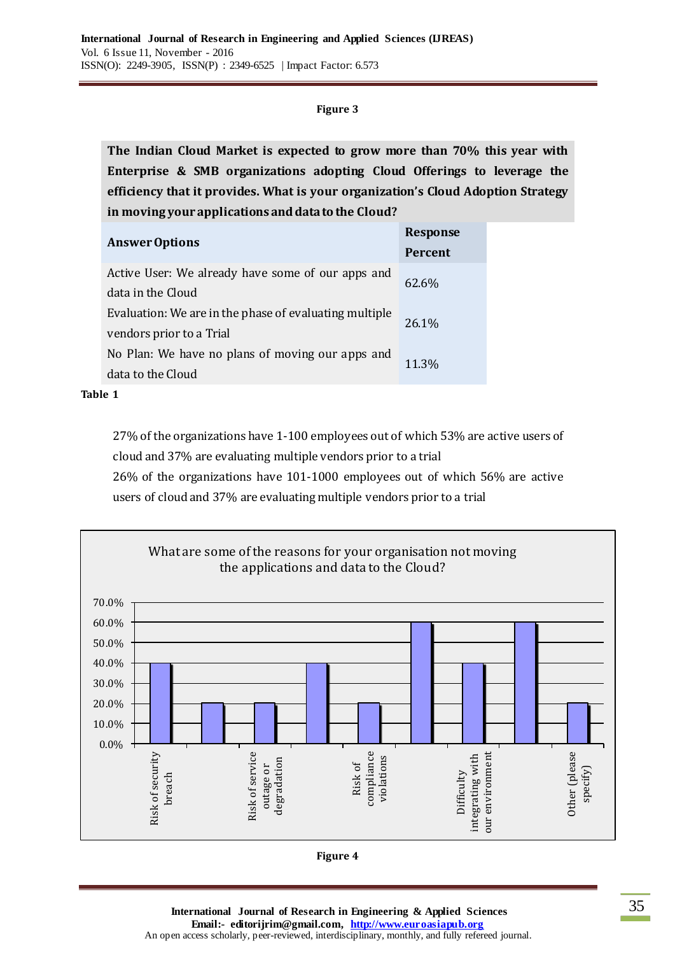**The Indian Cloud Market is expected to grow more than 70% this year with Enterprise & SMB organizations adopting Cloud Offerings to leverage the efficiency that it provides. What is your organization's Cloud Adoption Strategy in moving your applications and data to the Cloud?**

| <b>Answer Options</b>                                  | <b>Response</b> |  |
|--------------------------------------------------------|-----------------|--|
|                                                        | <b>Percent</b>  |  |
| Active User: We already have some of our apps and      | 62.6%           |  |
| data in the Cloud                                      |                 |  |
| Evaluation: We are in the phase of evaluating multiple | 26.1%           |  |
| vendors prior to a Trial                               |                 |  |
| No Plan: We have no plans of moving our apps and       | 11.3%           |  |
| data to the Cloud                                      |                 |  |

**Table 1**

27% of the organizations have 1-100 employees out of which 53% are active users of cloud and 37% are evaluating multiple vendors prior to a trial

26% of the organizations have 101-1000 employees out of which 56% are active

users of cloud and 37% are evaluating multiple vendors prior to a trial

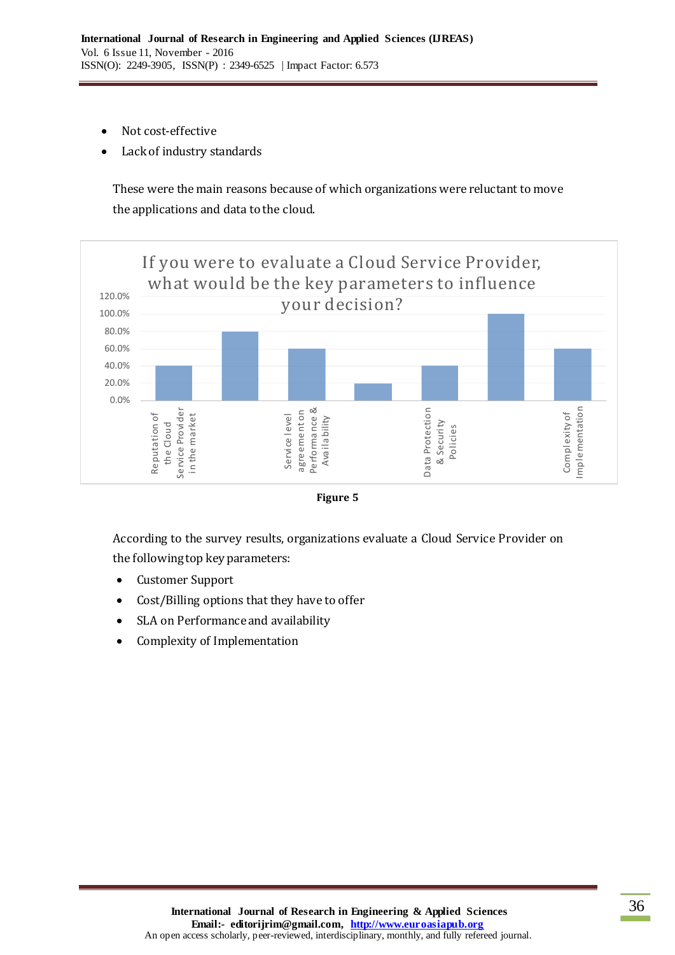- Not cost-effective
- Lack of industry standards

These were the main reasons because of which organizations were reluctant to move the applications and data to the cloud.





According to the survey results, organizations evaluate a Cloud Service Provider on the following top key parameters:

- Customer Support
- Cost/Billing options that they have to offer
- SLA on Performance and availability
- Complexity of Implementation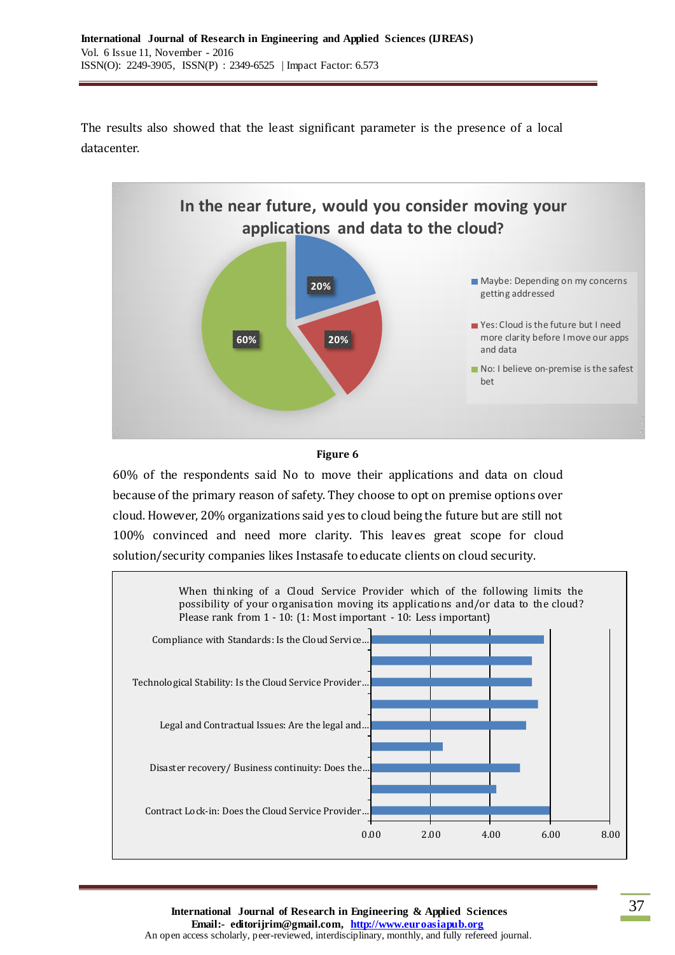The results also showed that the least significant parameter is the presence of a local datacenter.



#### **Figure 6**

60% of the respondents said No to move their applications and data on cloud because of the primary reason of safety. They choose to opt on premise options over cloud. However, 20% organizations said yes to cloud being the future but are still not 100% convinced and need more clarity. This leaves great scope for cloud solution/security companies likes Instasafe to educate clients on cloud security.



**International Journal of Research in Engineering & Applied Sciences Email:- editorijrim@gmail.com, http://www.euroasiapub.org** An open access scholarly, peer-reviewed, interdisciplinary, monthly, and fully refereed journal.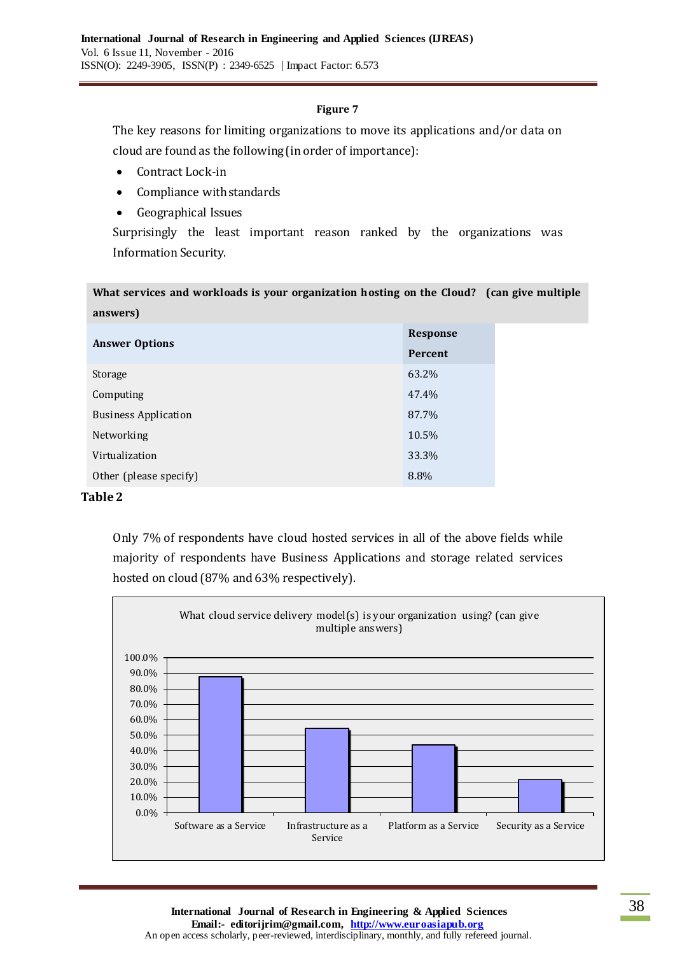The key reasons for limiting organizations to move its applications and/or data on cloud are found as the following (in order of importance):

- Contract Lock-in
- Compliance with standards
- Geographical Issues

Surprisingly the least important reason ranked by the organizations was Information Security.

| What services and workloads is your organization hosting on the Cloud? (can give multiple |                 |  |  |
|-------------------------------------------------------------------------------------------|-----------------|--|--|
| answers)                                                                                  |                 |  |  |
| <b>Answer Options</b>                                                                     | <b>Response</b> |  |  |
|                                                                                           | Percent         |  |  |
| Storage                                                                                   | 63.2%           |  |  |
| Computing                                                                                 | 47.4%           |  |  |
| <b>Business Application</b>                                                               | 87.7%           |  |  |
| Networking                                                                                | 10.5%           |  |  |
| Virtualization                                                                            | 33.3%           |  |  |
| Other (please specify)                                                                    | 8.8%            |  |  |

## **Table 2**

Only 7% of respondents have cloud hosted services in all of the above fields while majority of respondents have Business Applications and storage related services hosted on cloud (87% and 63% respectively).

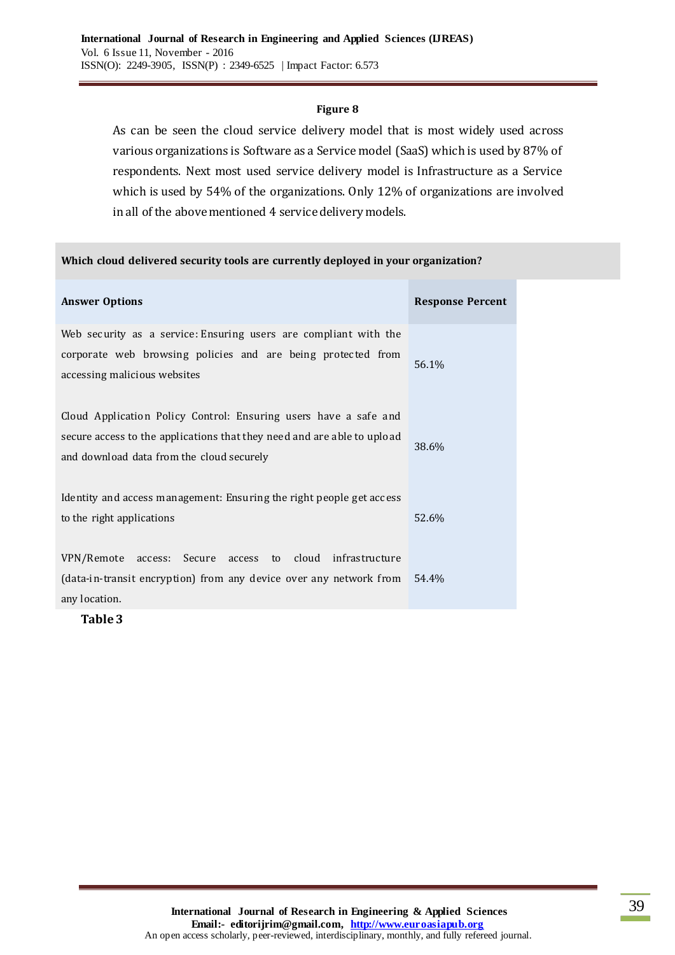As can be seen the cloud service delivery model that is most widely used across various organizations is Software as a Service model (SaaS) which is used by 87% of respondents. Next most used service delivery model is Infrastructure as a Service which is used by 54% of the organizations. Only 12% of organizations are involved in all of the above mentioned 4 service delivery models.

#### **Which cloud delivered security tools are currently deployed in your organization?**

| <b>Answer Options</b>                                                                                                                                                                    | <b>Response Percent</b> |
|------------------------------------------------------------------------------------------------------------------------------------------------------------------------------------------|-------------------------|
| Web security as a service: Ensuring users are compliant with the<br>corporate web browsing policies and are being protected from<br>accessing malicious websites                         | 56.1%                   |
| Cloud Application Policy Control: Ensuring users have a safe and<br>secure access to the applications that they need and are able to upload<br>and download data from the cloud securely | 38.6%                   |
| Identity and access management: Ensuring the right people get access<br>to the right applications                                                                                        | 52.6%                   |
| access: Secure access to cloud infrastructure<br>VPN/Remote<br>(data-in-transit encryption) from any device over any network from<br>any location.                                       | 54.4%                   |

**Table 3**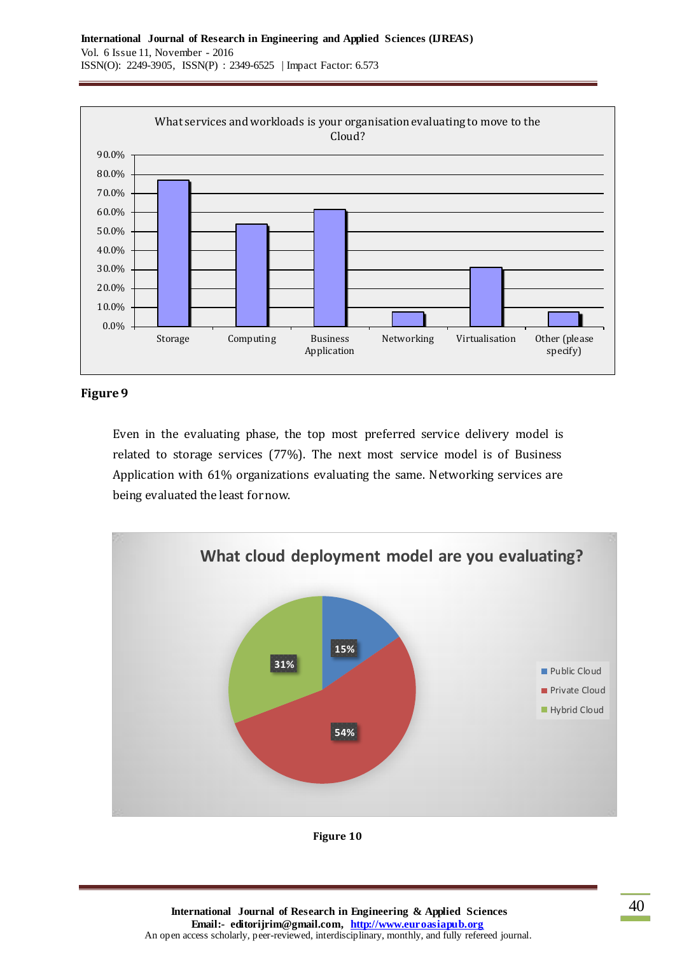

Even in the evaluating phase, the top most preferred service delivery model is related to storage services (77%). The next most service model is of Business Application with 61% organizations evaluating the same. Networking services are being evaluated the least for now.



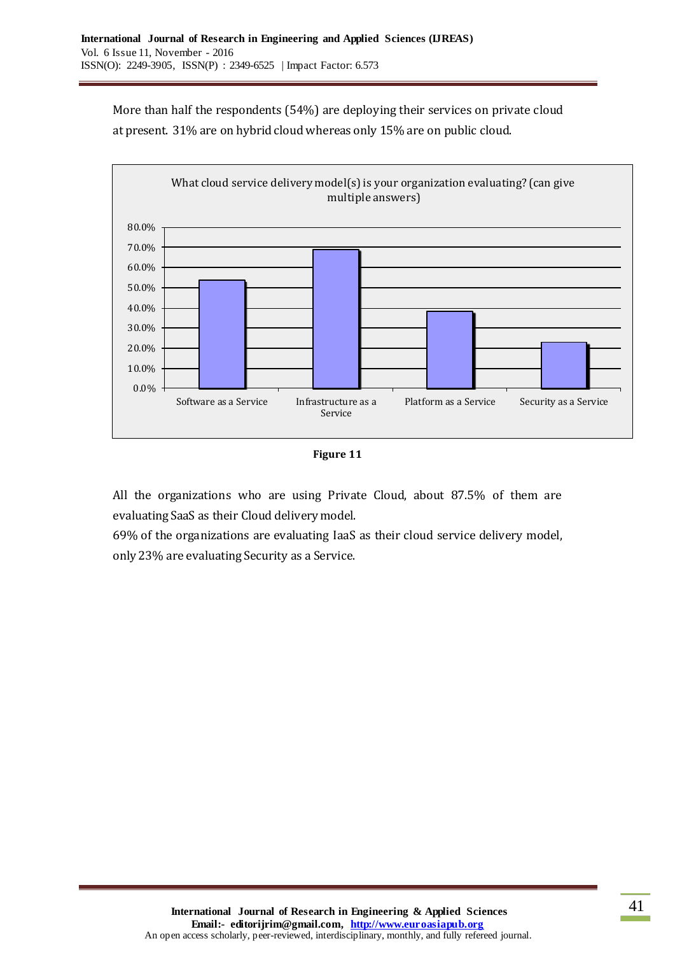More than half the respondents (54%) are deploying their services on private cloud at present. 31% are on hybrid cloud whereas only 15% are on public cloud.





All the organizations who are using Private Cloud, about 87.5% of them are evaluating SaaS as their Cloud delivery model.

69% of the organizations are evaluating IaaS as their cloud service delivery model, only 23% are evaluating Security as a Service.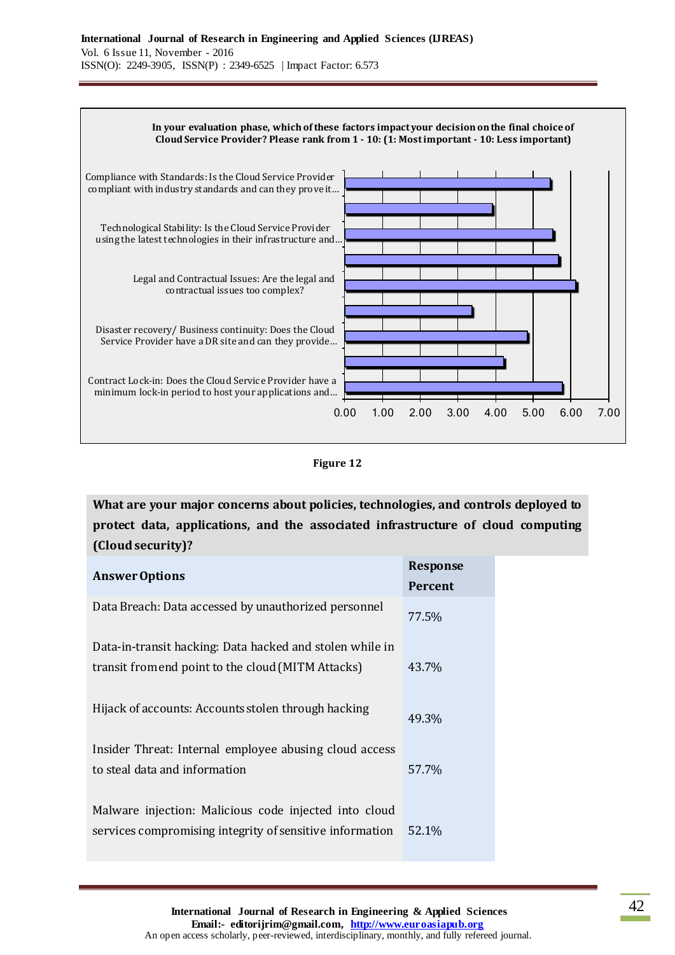

**Figure 12**

**What are your major concerns about policies, technologies, and controls deployed to protect data, applications, and the associated infrastructure of cloud computing (Cloud security)?**

|                                                          | <b>Response</b> |
|----------------------------------------------------------|-----------------|
| <b>Answer Options</b>                                    | <b>Percent</b>  |
| Data Breach: Data accessed by unauthorized personnel     | 77.5%           |
| Data-in-transit hacking: Data hacked and stolen while in |                 |
| transit from end point to the cloud (MITM Attacks)       | 43.7%           |
| Hijack of accounts: Accounts stolen through hacking      | 49.3%           |
| Insider Threat: Internal employee abusing cloud access   |                 |
| to steal data and information                            | 57.7%           |
|                                                          |                 |
| Malware injection: Malicious code injected into cloud    |                 |
| services compromising integrity of sensitive information | 52.1%           |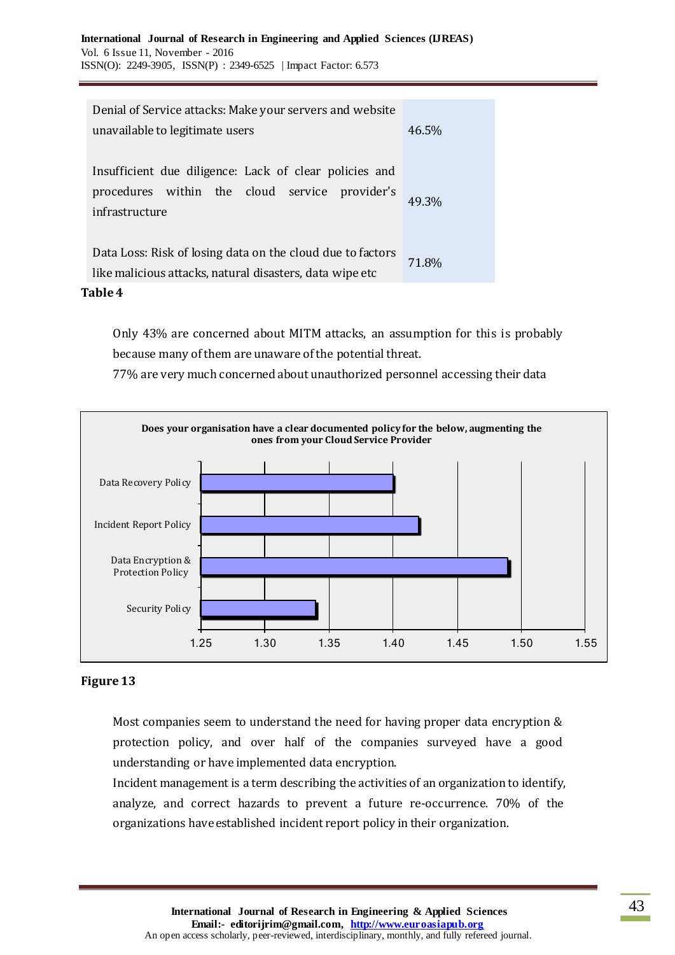### **Table 4**

Only 43% are concerned about MITM attacks, an assumption for this is probably because many of them are unaware of the potential threat.

77% are very much concerned about unauthorized personnel accessing their data



## **Figure 13**

Most companies seem to understand the need for having proper data encryption & protection policy, and over half of the companies surveyed have a good understanding or have implemented data encryption.

Incident management is a term describing the activities of an organization to identify, analyze, and correct hazards to prevent a future re-occurrence. 70% of the organizations have established incident report policy in their organization.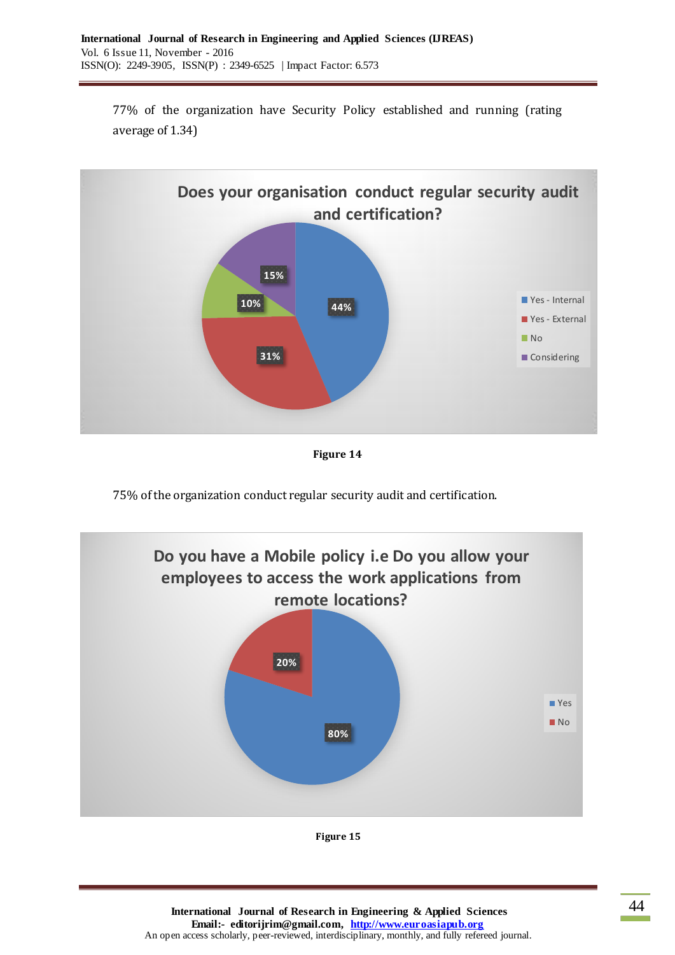77% of the organization have Security Policy established and running (rating average of 1.34)



**Figure 14**

75% of the organization conduct regular security audit and certification.



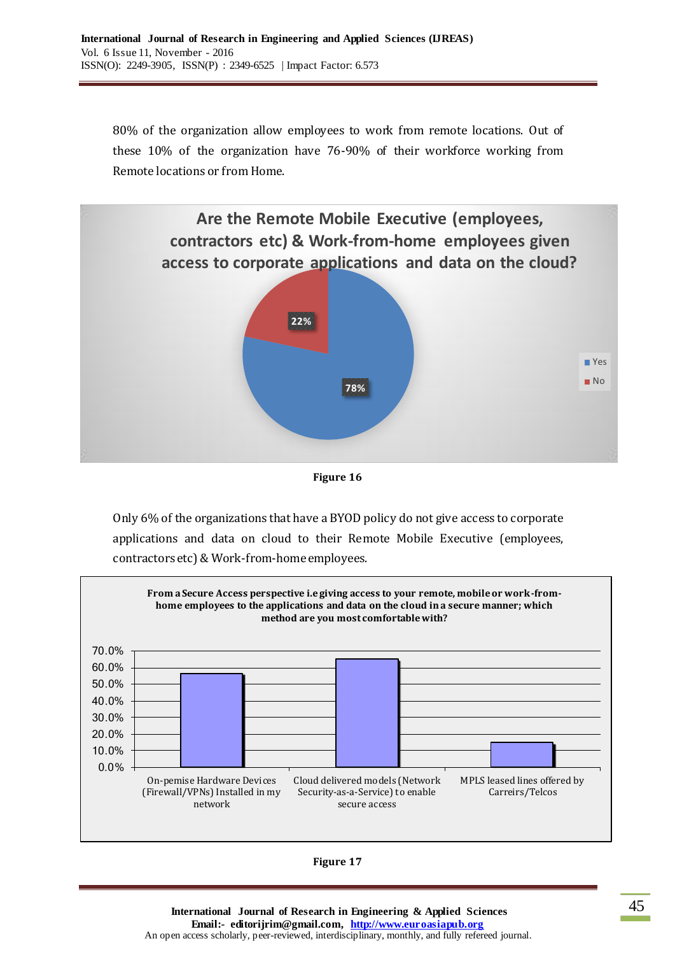80% of the organization allow employees to work from remote locations. Out of these 10% of the organization have 76-90% of their workforce working from Remote locations or from Home.



**Figure 16**

Only 6% of the organizations that have a BYOD policy do not give access to corporate applications and data on cloud to their Remote Mobile Executive (employees, contractors etc) & Work-from-home employees.



**Figure 17**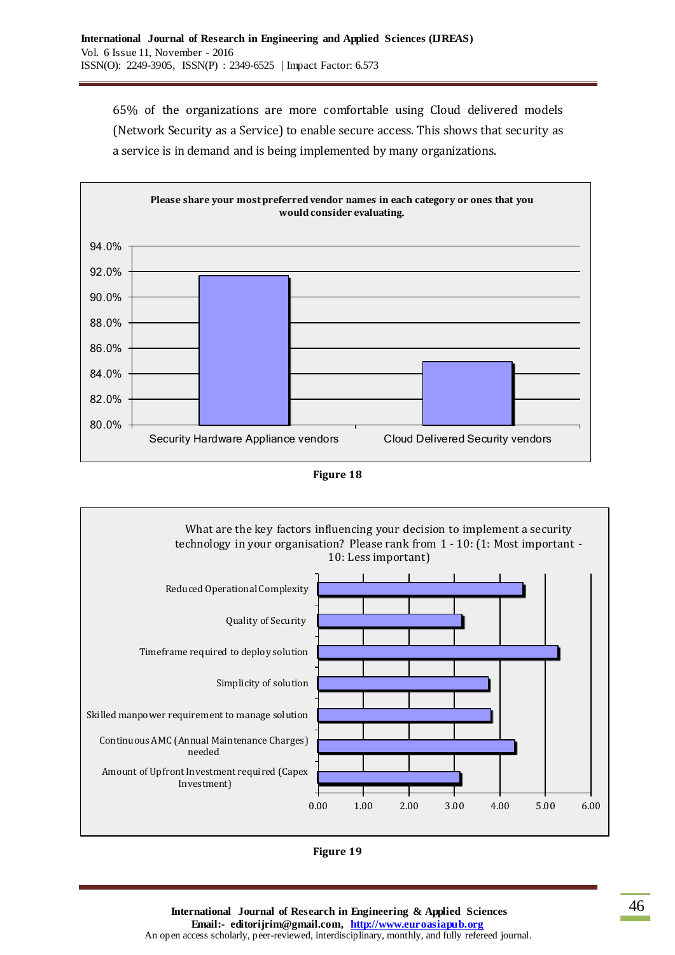65% of the organizations are more comfortable using Cloud delivered models (Network Security as a Service) to enable secure access. This shows that security as a service is in demand and is being implemented by many organizations.







**Figure 19**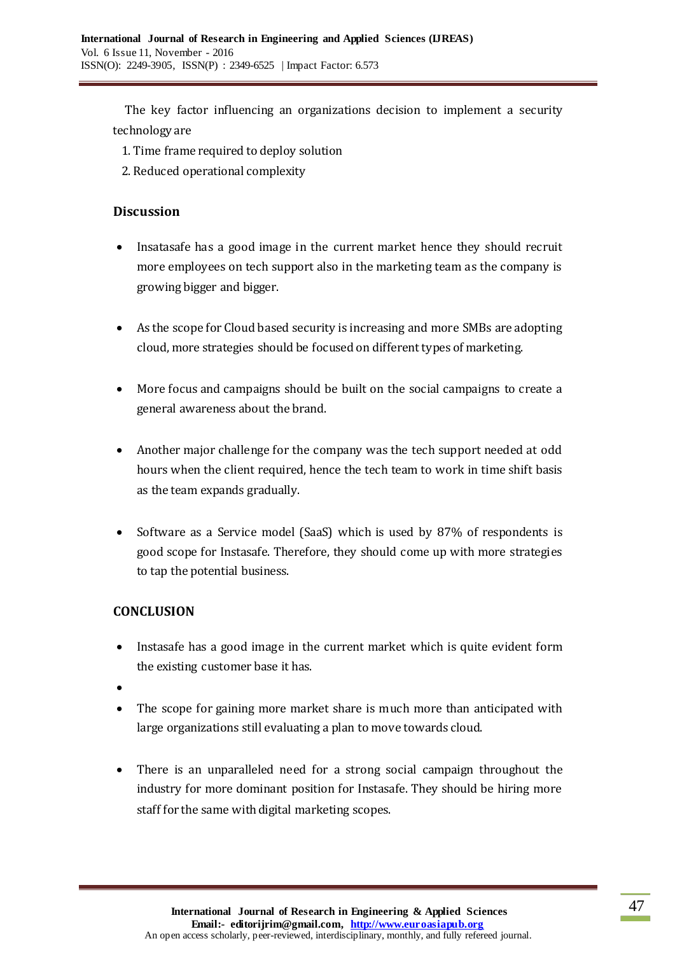The key factor influencing an organizations decision to implement a security technology are

- 1. Time frame required to deploy solution
- 2. Reduced operational complexity

## **Discussion**

- Insatasafe has a good image in the current market hence they should recruit more employees on tech support also in the marketing team as the company is growing bigger and bigger.
- As the scope for Cloud based security is increasing and more SMBs are adopting cloud, more strategies should be focused on different types of marketing.
- More focus and campaigns should be built on the social campaigns to create a general awareness about the brand.
- Another major challenge for the company was the tech support needed at odd hours when the client required, hence the tech team to work in time shift basis as the team expands gradually.
- Software as a Service model (SaaS) which is used by 87% of respondents is good scope for Instasafe. Therefore, they should come up with more strategies to tap the potential business.

# **CONCLUSION**

- Instasafe has a good image in the current market which is quite evident form the existing customer base it has.
- $\bullet$
- The scope for gaining more market share is much more than anticipated with large organizations still evaluating a plan to move towards cloud.
- There is an unparalleled need for a strong social campaign throughout the industry for more dominant position for Instasafe. They should be hiring more staff for the same with digital marketing scopes.